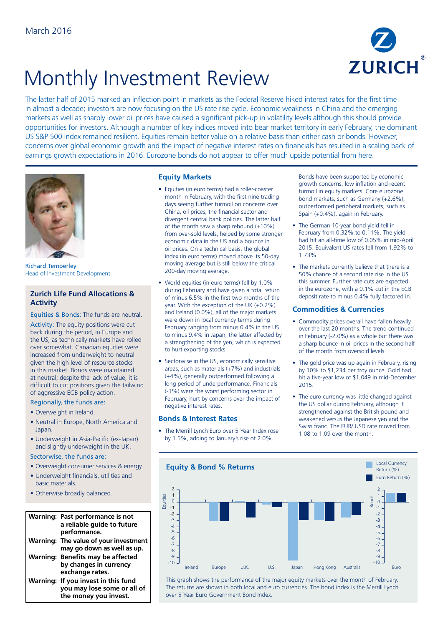

# Monthly Investment Review

The latter half of 2015 marked an inflection point in markets as the Federal Reserve hiked interest rates for the first time in almost a decade; investors are now focusing on the US rate rise cycle. Economic weakness in China and the emerging markets as well as sharply lower oil prices have caused a significant pick-up in volatility levels although this should provide opportunities for investors. Although a number of key indices moved into bear market territory in early February, the dominant US S&P 500 Index remained resilient. Equities remain better value on a relative basis than either cash or bonds. However, concerns over global economic growth and the impact of negative interest rates on financials has resulted in a scaling back of earnings growth expectations in 2016. Eurozone bonds do not appear to offer much upside potential from here.



Richard Temperley Head of Investment Development

## **Zurich Life Fund Allocations & Activity**

Equities & Bonds: The funds are neutral.

Activity: The equity positions were cut back during the period, in Europe and the US, as technically markets have rolled over somewhat. Canadian equities were increased from underweight to neutral given the high level of resource stocks in this market. Bonds were maintained at neutral; despite the lack of value, it is difficult to cut positions given the tailwind of aggressive ECB policy action.

#### Regionally, the funds are: 10  $\overline{1}$

- Overweight in Ireland.
- Neutral in Europe, North America and 12 Japan.
- Underweight in Asia-Pacific (ex-Japan) and slightly underweight in the UK.

#### Sectorwise, the funds are:

- Overweight consumer services & energy.
- Underweight financials, utilities and basic materials.
- Otherwise broadly balanced.

### **Warning: Past performance is not** 3 **a reliable guide to future**  4 **performance. Warning: The value of your investment**  -5 **may go down as well as up.**  -6 **Warning: Benefits may be affected by changes in currency**  exchange rates. **Warning: If you invest in this fund you may lose some or all of the money you invest.** 5

## **Equity Markets**

- Equities (in euro terms) had a roller-coaster month in February, with the first nine trading days seeing further turmoil on concerns over China, oil prices, the financial sector and divergent central bank policies. The latter half of the month saw a sharp rebound (+10%) from over-sold levels, helped by some stronger economic data in the US and a bounce in oil prices. On a technical basis, the global index (in euro terms) moved above its 50-day moving average but is still below the critical 200-day moving average.
- World equities (in euro terms) fell by 1.0% during February and have given a total return of minus 6.5% in the first two months of the year. With the exception of the UK (+0.2%) and Ireland (0.0%), all of the major markets were down in local currency terms during February ranging from minus 0.4% in the US to minus 9.4% in Japan; the latter affected by a strengthening of the yen, which is expected to hurt exporting stocks.
- Sectorwise in the US, economically sensitive areas, such as materials (+7%) and industrials (+4%), generally outperformed following a long period of underperformance. Financials (-3%) were the worst performing sector in February, hurt by concerns over the impact of negative interest rates.

## **Bonds & Interest Rates**

• The Merrill Lynch Euro over 5 Year Index rose by 1.5%, adding to January's rise of 2.0%.

Bonds have been supported by economic growth concerns, low inflation and recent turmoil in equity markets. Core eurozone bond markets, such as Germany (+2.6%), outperformed peripheral markets, such as Spain (+0.4%), again in February.

- The German 10-year bond yield fell in February from 0.32% to 0.11%. The yield had hit an all-time low of 0.05% in mid-April 2015. Equivalent US rates fell from 1.92% to 1.73%.
- The markets currently believe that there is a 50% chance of a second rate rise in the US this summer. Further rate cuts are expected in the eurozone, with a 0.1% cut in the ECB deposit rate to minus 0.4% fully factored in.

## **Commodities & Currencies**

- Commodity prices overall have fallen heavily over the last 20 months. The trend continued in February (-2.0%) as a whole but there was a sharp bounce in oil prices in the second half of the month from oversold levels.
- The gold price was up again in February, rising by 10% to \$1,234 per troy ounce. Gold had hit a five-year low of \$1,049 in mid-December 2015.
- The euro currency was little changed against the US dollar during February, although it strengthened against the British pound and weakened versus the Japanese yen and the Swiss franc. The EUR/ USD rate moved from 1.08 to 1.09 over the month.



This graph shows the performance of the major equity markets over the month of February. The returns are shown in both local and euro currencies. The bond index is the Merrill Lynch over 5 Year Euro Government Bond Index.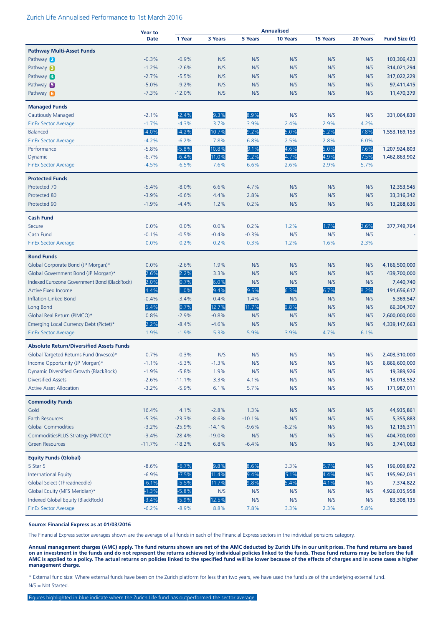### Zurich Life Annualised Performance to 1st March 2016

|                                                               | <b>Year to</b>     |                    |              |            | <b>Annualised</b> |                 |            |                        |
|---------------------------------------------------------------|--------------------|--------------------|--------------|------------|-------------------|-----------------|------------|------------------------|
|                                                               | <b>Date</b>        | 1 Year             | 3 Years      | 5 Years    | 10 Years          | <b>15 Years</b> | 20 Years   | Fund Size $(\epsilon)$ |
| <b>Pathway Multi-Asset Funds</b>                              |                    |                    |              |            |                   |                 |            |                        |
| Pathway 2                                                     | $-0.3%$            | $-0.9%$            | N/S          | N/S        | N/S               | N/S             | N/S        | 103,306,423            |
| Pathway <b>B</b>                                              | $-1.2%$            | $-2.6%$            | N/S          | N/S        | N/S               | N/S             | N/S        | 314,021,294            |
| Pathway 4                                                     | $-2.7%$            | $-5.5%$            | N/S          | N/S        | N/S               | N/S             | N/S        | 317,022,229            |
| Pathway 5                                                     | $-5.0%$            | $-9.2%$            | N/S          | N/S        | N/S               | N/S             | N/S        | 97,411,415             |
| Pathway 6                                                     | $-7.3%$            | $-12.0%$           | N/S          | N/S        | N/S               | N/S             | N/S        | 11,470,379             |
| <b>Managed Funds</b>                                          |                    |                    |              |            |                   |                 |            |                        |
| <b>Cautiously Managed</b>                                     | $-2.1%$            | $-2.4%$            | 9.3%         | 8.9%       | N/S               | N/S             | N/S        | 331,064,839            |
| <b>FinEx Sector Average</b>                                   | $-1.7%$            | $-4.3%$            | 3.7%         | 3.9%       | 2.4%              | 2.9%            | 4.2%       |                        |
| <b>Balanced</b>                                               | $-4.0%$            | $-4.2%$            | 10.7%        | 9.2%       | 5.0%              | 5.2%            | 7.8%       | 1,553,169,153          |
| <b>FinEx Sector Average</b>                                   | $-4.2%$            | $-6.2%$            | 7.8%         | 6.8%       | 2.5%              | 2.8%            | 6.0%       |                        |
| Performance                                                   | $-5.8%$            | $-5.8%$            | 10.8%        | 9.1%       | 4.6%              | 5.0%            | 7.6%       | 1,207,924,803          |
| Dynamic                                                       | $-6.7%$            | $-6.4%$            | 11.0%        | 9.2%       | 4.7%              | 4.9%            | 7.5%       | 1,462,863,902          |
| FinEx Sector Average                                          | $-4.5%$            | $-6.5%$            | 7.6%         | 6.6%       | 2.6%              | 2.9%            | 5.7%       |                        |
|                                                               |                    |                    |              |            |                   |                 |            |                        |
| <b>Protected Funds</b>                                        |                    |                    |              |            |                   |                 |            |                        |
| Protected 70                                                  | $-5.4%$            | $-8.0%$            | 6.6%         | 4.7%       | N/S               | N/S             | N/S        | 12,353,545             |
| Protected 80                                                  | $-3.9%$            | $-6.6%$            | 4.4%         | 2.8%       | N/S               | N/S             | N/S        | 33,316,342             |
| Protected 90                                                  | $-1.9%$            | $-4.4%$            | 1.2%         | 0.2%       | N/S               | N/S             | N/S        | 13,268,636             |
| <b>Cash Fund</b>                                              |                    |                    |              |            |                   |                 |            |                        |
| Secure                                                        | 0.0%               | 0.0%               | 0.0%         | 0.2%       | 1.2%              | 1.7%            | 2.6%       | 377,749,764            |
| Cash Fund                                                     | $-0.1%$            | $-0.5%$            | $-0.4%$      | $-0.3%$    | N/S               | N/S             | N/S        |                        |
| <b>FinEx Sector Average</b>                                   | 0.0%               | 0.2%               | 0.2%         | 0.3%       | 1.2%              | 1.6%            | 2.3%       |                        |
| <b>Bond Funds</b>                                             |                    |                    |              |            |                   |                 |            |                        |
| Global Corporate Bond (JP Morgan)*                            | 0.0%               | $-2.6%$            | 1.9%         | N/S        | N/S               | N/S             | N/S        | 4,166,500,000          |
| Global Government Bond (JP Morgan)*                           | 2.6%               | 2.2%               | 3.3%         | N/S        | N/S               | N/S             | N/S        | 439,700,000            |
| Indexed Eurozone Government Bond (BlackRock)                  | 2.0%               | 0.7%               | 6.0%         | N/S        | N/S               | N/S             | N/S        | 7,440,740              |
| <b>Active Fixed Income</b>                                    | 4.4%               | 1.0%               | 9.4%         | 9.5%       | 6.3%              | 6.7%            | 8.2%       | 191,656,617            |
| Inflation-Linked Bond                                         | $-0.4%$            | $-3.4%$            | 0.4%         | 1.4%       | N/S               | N/S             | N/S        | 5,369,547              |
| Long Bond                                                     | 6.4%               | 0.7%               | 12.7%        | 11.7%      | 6.8%              | N/S             | N/S        | 66,304,707             |
| Global Real Return (PIMCO)*                                   | 0.8%               | $-2.9%$            | $-0.8%$      | N/S        | N/S               | N/S             | N/S        | 2,600,000,000          |
| Emerging Local Currency Debt (Pictet)*                        | 2.2%               | $-8.4%$            | $-4.6%$      | N/S        | N/S               | N/S             | N/S        | 4,339,147,663          |
| <b>FinEx Sector Average</b>                                   | 1.9%               | $-1.9%$            | 5.3%         | 5.9%       | 3.9%              | 4.7%            | 6.1%       |                        |
| <b>Absolute Return/Diversified Assets Funds</b>               |                    |                    |              |            |                   |                 |            |                        |
| Global Targeted Returns Fund (Invesco)*                       | 0.7%               | $-0.3%$            | N/S          | N/S        | N/S               | N/S             | N/S        | 2,403,310,000          |
| Income Opportunity (JP Morgan)*                               | $-1.1%$            | $-5.3%$            | $-1.3%$      | N/S        | N/S               | N/S             | N/S        | 6,866,600,000          |
| Dynamic Diversified Growth (BlackRock)                        | $-1.9%$            | $-5.8%$            | 1.9%         | N/S        | N/S               | N/S             | N/S        | 19,389,926             |
| <b>Diversified Assets</b>                                     | $-2.6%$            | $-11.1%$           | 3.3%         | 4.1%       | N/S               | N/S             | N/S        | 13,013,552             |
| <b>Active Asset Allocation</b>                                | $-3.2%$            | $-5.9%$            | 6.1%         | 5.7%       | N/S               | N/S             | N/S        | 171,987,011            |
| <b>Commodity Funds</b>                                        |                    |                    |              |            |                   |                 |            |                        |
| Gold                                                          | 16.4%              | 4.1%               | $-2.8%$      | 1.3%       | N/S               | N/S             | N/S        | 44,935,861             |
| Earth Resources                                               | $-5.3%$            | $-23.3%$           | $-8.6%$      | $-10.1%$   | N/S               | N/S             | N/S        | 5,355,883              |
| <b>Global Commodities</b>                                     | $-3.2%$            | $-25.9%$           | $-14.1%$     | $-9.6%$    | $-8.2%$           | N/S             | N/S        | 12,136,311             |
| CommoditiesPLUS Strategy (PIMCO)*                             | $-3.4%$            | $-28.4%$           | $-19.0%$     | N/S        | N/S               | N/S             | N/S        | 404,700,000            |
| <b>Green Resources</b>                                        | $-11.7%$           | $-18.2%$           | 6.8%         | $-6.4%$    | N/S               | N/S             | N/S        | 3,741,063              |
|                                                               |                    |                    |              |            |                   |                 |            |                        |
| <b>Equity Funds (Global)</b><br>5 Star 5                      | $-8.6%$            | $-6.7%$            | 9.8%         | 8.6%       | 3.3%              | 5.7%            | N/S        |                        |
|                                                               | $-6.9%$            | $-7.5%$            | 11.4%        | 9.4%       | 5.1%              | 4.4%            |            | 196,099,872            |
| <b>International Equity</b>                                   |                    |                    |              |            |                   |                 | N/S        | 195,962,031            |
| Global Select (Threadneedle)<br>Global Equity (MFS Meridian)* | $-6.1%$<br>$-1.3%$ | $-5.5%$            | 11.7%        | 9.8%       | 5.4%              | 4.1%            | N/S        | 7,374,822              |
| Indexed Global Equity (BlackRock)                             | $-3.4%$            | $-5.8%$<br>$-5.9%$ | N/S<br>12.5% | N/S<br>N/S | N/S<br>N/S        | N/S<br>N/S      | N/S<br>N/S | 4,926,035,958          |
|                                                               |                    |                    |              |            |                   |                 |            | 83,308,135             |
| <b>FinEx Sector Average</b>                                   | $-6.2%$            | $-8.9%$            | 8.8%         | 7.8%       | 3.3%              | 2.3%            | 5.8%       |                        |

#### **Source: Financial Express as at 01/03/2016**

The Financial Express sector averages shown are the average of all funds in each of the Financial Express sectors in the individual pensions category.

**Annual management charges (AMC) apply. The fund returns shown are net of the AMC deducted by Zurich Life in our unit prices. The fund returns are based on an investment in the funds and do not represent the returns achieved by individual policies linked to the funds. These fund returns may be before the full AMC is applied to a policy. The actual returns on policies linked to the specified fund will be lower because of the effects of charges and in some cases a higher management charge.**

\* External fund size: Where external funds have been on the Zurich platform for less than two years, we have used the fund size of the underlying external fund. N/S = Not Started.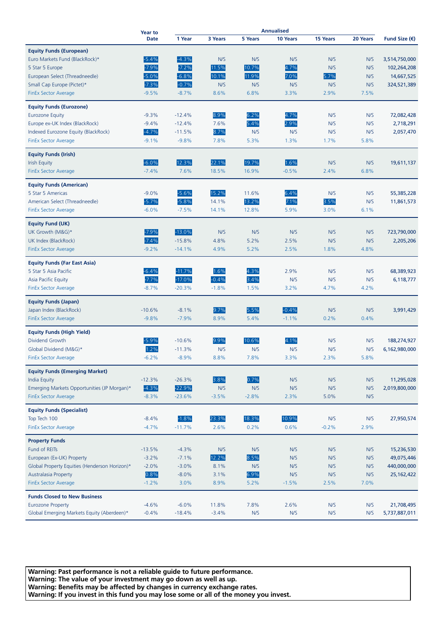|                                               | <b>Year to</b><br><b>Date</b> | <b>Annualised</b> |         |                |          |          |          |                        |
|-----------------------------------------------|-------------------------------|-------------------|---------|----------------|----------|----------|----------|------------------------|
|                                               |                               | 1 Year            | 3 Years | <b>5 Years</b> | 10 Years | 15 Years | 20 Years | Fund Size $(\epsilon)$ |
|                                               |                               |                   |         |                |          |          |          |                        |
| <b>Equity Funds (European)</b>                |                               |                   |         |                |          |          |          |                        |
| Euro Markets Fund (BlackRock)*                | $-5.4%$                       | $-4.3%$           | N/S     | N/S            | N/S      | N/S      | N/S      | 3,514,750,000          |
| 5 Star 5 Europe                               | $-7.9%$                       | $-7.2%$           | 11.5%   | 10.7%          | 4.7%     | N/S      | N/S      | 102,264,208            |
| European Select (Threadneedle)                | $-5.0%$                       | $-6.8%$           | 10.1%   | 11.9%          | 7.0%     | 5.7%     | N/S      | 14,667,525             |
| Small Cap Europe (Pictet)*                    | $-7.3%$                       | $-0.7%$           | N/S     | N/S            | N/S      | N/S      | N/S      | 324,521,389            |
| <b>FinEx Sector Average</b>                   | $-9.5%$                       | $-8.7%$           | 8.6%    | 6.8%           | 3.3%     | 2.9%     | 7.5%     |                        |
| <b>Equity Funds (Eurozone)</b>                |                               |                   |         |                |          |          |          |                        |
|                                               | $-9.3%$                       | $-12.4%$          | 8.9%    | 6.2%           |          | N/S      | N/S      |                        |
| <b>Eurozone Equity</b>                        |                               |                   |         |                | 4.7%     |          |          | 72,082,428             |
| Europe ex-UK Index (BlackRock)                | $-9.4%$                       | $-12.4%$          | 7.6%    | 5.4%           | 2.9%     | N/S      | N/S      | 2,718,291              |
| Indexed Eurozone Equity (BlackRock)           | $-4.7%$                       | $-11.5%$          | 8.7%    | N/S            | N/S      | N/S      | N/S      | 2,057,470              |
| <b>FinEx Sector Average</b>                   | $-9.1%$                       | $-9.8%$           | 7.8%    | 5.3%           | 1.3%     | 1.7%     | 5.8%     |                        |
| <b>Equity Funds (Irish)</b>                   |                               |                   |         |                |          |          |          |                        |
| <b>Irish Equity</b>                           | $-6.0%$                       | 12.3%             | 22.1%   | 19.7%          | 1.6%     | N/S      | N/S      | 19,611,137             |
| FinEx Sector Average                          | $-7.4%$                       | 7.6%              | 18.5%   | 16.9%          | $-0.5%$  | 2.4%     | 6.8%     |                        |
|                                               |                               |                   |         |                |          |          |          |                        |
| <b>Equity Funds (American)</b>                |                               |                   |         |                |          |          |          |                        |
| 5 Star 5 Americas                             | $-9.0%$                       | $-5.6%$           | 15.2%   | 11.6%          | 6.4%     | N/S      | N/S      | 55,385,228             |
| American Select (Threadneedle)                | $-5.7%$                       | $-5.8%$           | 14.1%   | 13.2%          | 7.1%     | 3.5%     | N/S      | 11,861,573             |
| <b>FinEx Sector Average</b>                   | $-6.0%$                       | $-7.5%$           | 14.1%   | 12.8%          | 5.9%     | 3.0%     | 6.1%     |                        |
|                                               |                               |                   |         |                |          |          |          |                        |
| <b>Equity Fund (UK)</b>                       |                               |                   |         |                |          |          |          |                        |
| UK Growth (M&G)*                              | $-7.9%$                       | $-13.0%$          | N/S     | N/S            | N/S      | N/S      | N/S      | 723,790,000            |
| UK Index (BlackRock)                          | $-7.4%$                       | $-15.8%$          | 4.8%    | 5.2%           | 2.5%     | N/S      | N/S      | 2,205,206              |
| <b>FinEx Sector Average</b>                   | $-9.2%$                       | $-14.1%$          | 4.9%    | 5.2%           | 2.5%     | 1.8%     | 4.8%     |                        |
| <b>Equity Funds (Far East Asia)</b>           |                               |                   |         |                |          |          |          |                        |
| 5 Star 5 Asia Pacific                         | $-6.4%$                       | $-11.7%$          | 1.6%    | 4.3%           | 2.9%     | N/S      | N/S      | 68,389,923             |
| Asia Pacific Equity                           | $-7.7%$                       | $-17.0%$          | $-0.4%$ | 3.4%           | N/S      | N/S      | N/S      | 6,118,777              |
| <b>FinEx Sector Average</b>                   | $-8.7%$                       | $-20.3%$          | $-1.8%$ | 1.5%           | 3.2%     | 4.7%     | 4.2%     |                        |
|                                               |                               |                   |         |                |          |          |          |                        |
| <b>Equity Funds (Japan)</b>                   |                               |                   |         |                |          |          |          |                        |
| Japan Index (BlackRock)                       | $-10.6%$                      | $-8.1%$           | 9.7%    | 5.5%           | $-0.4%$  | N/S      | N/S      | 3,991,429              |
| <b>FinEx Sector Average</b>                   | $-9.8%$                       | $-7.9%$           | 8.9%    | 5.4%           | $-1.1%$  | 0.2%     | 0.4%     |                        |
|                                               |                               |                   |         |                |          |          |          |                        |
| <b>Equity Funds (High Yield)</b>              |                               |                   |         |                |          |          |          |                        |
| Dividend Growth                               | $-5.9%$                       | $-10.6%$          | 9.9%    | 10.6%          | 4.1%     | N/S      | N/S      | 188,274,927            |
| Global Dividend (M&G)*                        | 1.2%                          | $-11.3%$          | N/S     | N/S            | N/S      | N/S      | N/S      | 6,162,980,000          |
| <b>FinEx Sector Average</b>                   | $-6.2%$                       | $-8.9%$           | 8.8%    | 7.8%           | 3.3%     | 2.3%     | 5.8%     |                        |
| <b>Equity Funds (Emerging Market)</b>         |                               |                   |         |                |          |          |          |                        |
| <b>India Equity</b>                           | $-12.3%$                      | $-26.3%$          | 3.8%    | 0.7%           | N/S      | N/S      | N/S      | 11,295,028             |
| Emerging Markets Opportunities (JP Morgan)*   | $-4.3%$                       | $-22.9%$          | N/S     | N/S            | N/S      | N/S      | N/S      | 2,019,800,000          |
| <b>FinEx Sector Average</b>                   | $-8.3%$                       | $-23.6%$          | $-3.5%$ | $-2.8%$        | 2.3%     | 5.0%     | N/S      |                        |
|                                               |                               |                   |         |                |          |          |          |                        |
| <b>Equity Funds (Specialist)</b>              |                               |                   |         |                |          |          |          |                        |
| Top Tech 100                                  | $-8.4%$                       | $-1.8%$           | 23.3%   | 18.3%          | 10.9%    | N/S      | N/S      | 27,950,574             |
| <b>FinEx Sector Average</b>                   | $-4.7%$                       | $-11.7%$          | 2.6%    | 0.2%           | 0.6%     | $-0.2%$  | 2.9%     |                        |
| <b>Property Funds</b>                         |                               |                   |         |                |          |          |          |                        |
| Fund of REITs                                 | $-13.5%$                      | $-4.3%$           | N/S     | N/S            | N/S      | N/S      | N/S      | 15,236,530             |
| European (Ex-UK) Property                     | $-3.2%$                       | $-7.1%$           | 12.2%   | 8.5%           | N/S      | N/S      | N/S      | 49,075,446             |
|                                               |                               |                   |         | N/S            |          |          |          |                        |
| Global Property Equities (Henderson Horizon)* | $-2.0%$                       | $-3.0%$           | 8.1%    |                | N/S      | N/S      | N/S      | 440,000,000            |
| <b>Australasia Property</b>                   | 0.8%                          | $-8.0%$           | 3.1%    | 6.9%           | N/S      | N/S      | N/S      | 25, 162, 422           |
| <b>FinEx Sector Average</b>                   | $-1.2%$                       | 3.0%              | 8.9%    | 5.2%           | $-1.5%$  | 2.5%     | 7.0%     |                        |
| <b>Funds Closed to New Business</b>           |                               |                   |         |                |          |          |          |                        |
| <b>Eurozone Property</b>                      | $-4.6%$                       | $-6.0%$           | 11.8%   | 7.8%           | 2.6%     | N/S      | N/S      | 21,708,495             |
| Global Emerging Markets Equity (Aberdeen)*    | $-0.4%$                       | $-18.4%$          | $-3.4%$ | N/S            | N/S      | N/S      | N/S      | 5,737,887,011          |
|                                               |                               |                   |         |                |          |          |          |                        |

**Warning: Past performance is not a reliable guide to future performance. Warning: The value of your investment may go down as well as up. Warning: Benefits may be affected by changes in currency exchange rates. Warning: If you invest in this fund you may lose some or all of the money you invest.**